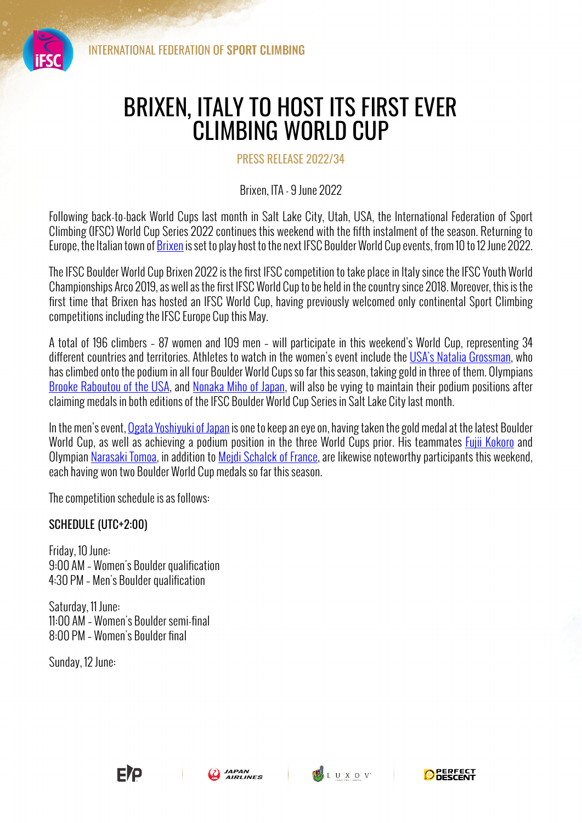

## BRIXEN, ITALY TO HOST ITS FIRST EVER CLIMBING WORLD CUP

## PRESS RELEASE 2022/34

## Brixen, ITA - 9 June 2022

Following back-to-back World Cups last month in Salt Lake City, Utah, USA, the International Federation of Sport Climbing (IFSC) World Cup Series 2022 continues this weekend with the fifth instalment of the season. Returning to Europe, the Italian town of Brixen is set to play host to the next IFSC Boulder World Cup events, from 10 to 12 June 2022.

The IFSC Boulder World Cup Brixen 2022 is the first IFSC competition to take place in Italy since the IFSC Youth World Championships Arco 2019, as well as the first IFSC World Cup to be held in the country since 2018. Moreover, this is the first time that Brixen has hosted an IFSC World Cup, having previously welcomed only continental Sport Climbing competitions including the IFSC Europe Cup this May.

A total of 196 climbers – 87 women and 109 men – will participate in this weekend's World Cup, representing 34 different countries and territories. Athletes to watch in the women's event include the USA's Natalia Grossman, who has climbed onto the podium in all four Boulder World Cups so far this season, taking gold in three of them. Olympians Brooke Raboutou of the USA, and Nonaka Miho of Japan, will also be vying to maintain their podium positions after claiming medals in both editions of the IFSC Boulder World Cup Series in Salt Lake City last month.

In the men's event, Ogata Yoshiyuki of Japan is one to keep an eye on, having taken the gold medal at the latest Boulder World Cup, as well as achieving a podium position in the three World Cups prior. His teammates *Fujii Kokoro* and Olympian Narasaki Tomoa, in addition to Mejdi Schalck of France, are likewise noteworthy participants this weekend, each having won two Boulder World Cup medals so far this season.

The competition schedule is as follows:

## SCHEDULE (UTC+2:00)

Friday, 10 June: 9:00 AM – Women's Boulder qualification 4:30 PM – Men's Boulder qualification

Saturday, 11 June: 11:00 AM – Women's Boulder semi-final 8:00 PM – Women's Boulder final

Sunday, 12 June: